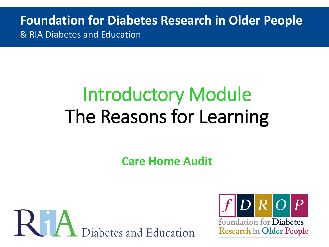**Foundation for Diabetes Research in Older People** & RIA Diabetes and Education

# Introductory Module The Reasons for Learning

**Care Home Audit**



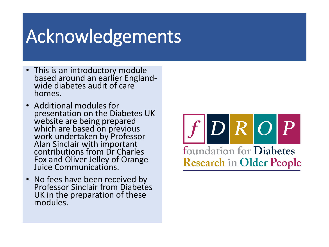## Acknowledgements

- This is an introductory module based around an earlier Englandwide diabetes audit of care homes.
- Additional modules for presentation on the Diabetes UK website are being prepared which are based on previous work undertaken by Professor Alan Sinclair with important contributions from Dr Charles Fox and Oliver Jelley of Orange Juice Communications.
- No fees have been received by Professor Sinclair from Diabetes UK in the preparation of these modules.

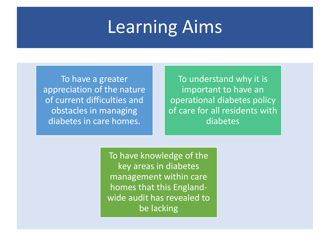## Learning Aims

To have a greater appreciation of the nature of current difficulties and obstacles in managing diabetes in care homes.

To understand why it is important to have an operational diabetes policy of care for all residents with diabetes

To have knowledge of the key areas in diabetes management within care homes that this Englandwide audit has revealed to be lacking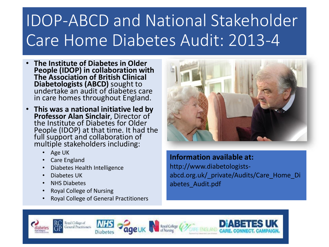## IDOP-ABCD and National Stakeholder Care Home Diabetes Audit: 2013-4

- **The Institute of Diabetes in Older People (IDOP) in collaboration with The Association of British Clinical Diabetologists (ABCD)** sought to undertake an audit of diabetes care in care homes throughout England.
- **This was a national initiative led by Professor Alan Sinclair**, Director of the Institute of Diabetes for Older People (IDOP) at that time. It had the full support and collaboration of multiple stakeholders including:
	- Age UK
	- Care England
	- Diabetes Health Intelligence
	- Diabetes UK
	- NHS Diabetes
	- Royal College of Nursing
	- Royal College of General Practitioners



### **Information available at:**

http://www.diabetologistsabcd.org.uk/\_private/Audits/Care\_Home\_Di abetes\_Audit.pdf

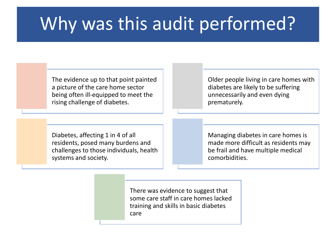## Why was this audit performed?

The evidence up to that point painted a picture of the care home sector being often ill-equipped to meet the rising challenge of diabetes.

Older people living in care homes with diabetes are likely to be suffering unnecessarily and even dying prematurely.

Diabetes, affecting 1 in 4 of all residents, posed many burdens and challenges to those individuals, health systems and society.

Managing diabetes in care homes is made more difficult as residents may be frail and have multiple medical comorbidities.

There was evidence to suggest that some care staff in care homes lacked training and skills in basic diabetes care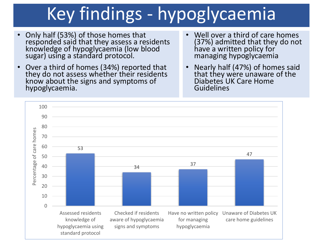## Key findings - hypoglycaemia

- Only half (53%) of those homes that responded said that they assess a residents knowledge of hypoglycaemia (low blood sugar) using a standard protocol.
- Over a third of homes (34%) reported that they do not assess whether their residents know about the signs and symptoms of hypoglycaemia.
- Well over a third of care homes (37%) admitted that they do not have a written policy for managing hypoglycaemia
- Nearly half (47%) of homes said that they were unaware of the Diabetes UK Care Home Guidelines

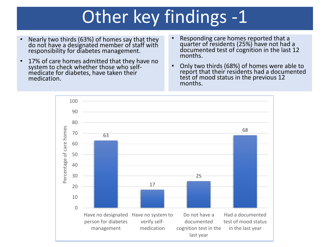## Other key findings -1

- Nearly two thirds (63%) of homes say that they do not have a designated member of staff with responsibility for diabetes management.
- 17% of care homes admitted that they have no system to check whether those who selfmedicate for diabetes, have taken their medication.
- Responding care homes reported that a quarter of residents (25%) have not had a documented test of cognition in the last 12 months.
- Only two thirds (68%) of homes were able to report that their residents had a documented test of mood status in the previous 12 months.

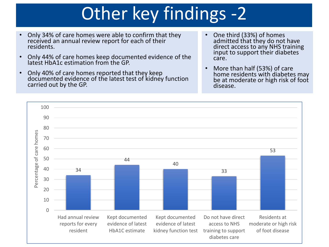## Other key findings -2

- Only 34% of care homes were able to confirm that they received an annual review report for each of their residents.
- Only 44% of care homes keep documented evidence of the latest HbA1c estimation from the GP.
- Only 40% of care homes reported that they keep documented evidence of the latest test of kidney function carried out by the GP.
- One third (33%) of homes admitted that they do not have direct access to any NHS training input to support their diabetes care.
- More than half (53%) of care home residents with diabetes may be at moderate or high risk of foot disease.

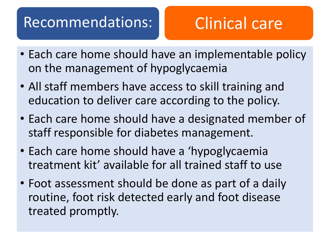### Recommendations: Clinical care

- Each care home should have an implementable policy on the management of hypoglycaemia
- All staff members have access to skill training and education to deliver care according to the policy.
- Each care home should have a designated member of staff responsible for diabetes management.
- Each care home should have a 'hypoglycaemia treatment kit' available for all trained staff to use
- Foot assessment should be done as part of a daily routine, foot risk detected early and foot disease treated promptly.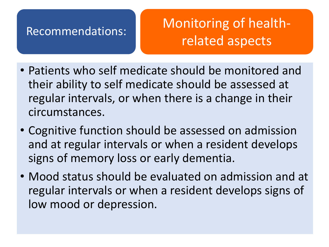### Recommendations: Monitoring of healthrelated aspects

- Patients who self medicate should be monitored and their ability to self medicate should be assessed at regular intervals, or when there is a change in their circumstances.
- Cognitive function should be assessed on admission and at regular intervals or when a resident develops signs of memory loss or early dementia.
- Mood status should be evaluated on admission and at regular intervals or when a resident develops signs of low mood or depression.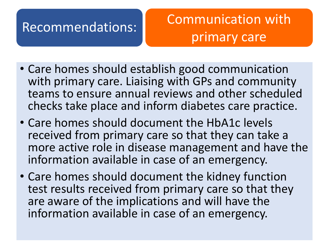### Recommendations: Communication with primary care

- Care homes should establish good communication with primary care. Liaising with GPs and community teams to ensure annual reviews and other scheduled checks take place and inform diabetes care practice.
- Care homes should document the HbA1c levels received from primary care so that they can take a more active role in disease management and have the information available in case of an emergency.
- Care homes should document the kidney function test results received from primary care so that they are aware of the implications and will have the information available in case of an emergency.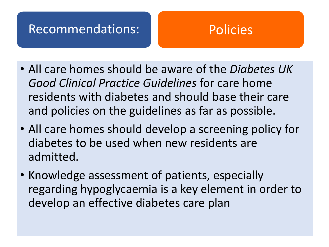### Recommendations: Policies

- All care homes should be aware of the *Diabetes UK Good Clinical Practice Guidelines* for care home residents with diabetes and should base their care and policies on the guidelines as far as possible.
- All care homes should develop a screening policy for diabetes to be used when new residents are admitted.
- Knowledge assessment of patients, especially regarding hypoglycaemia is a key element in order to develop an effective diabetes care plan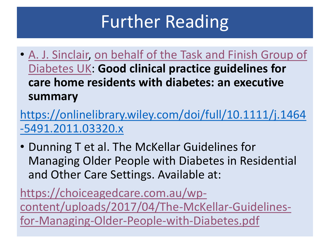## Further Reading

• [A. J. Sinclair, on behalf of the Task and Finish Group of](https://onlinelibrary.wiley.com/action/doSearch?ContribAuthorStored=On+Behalf+Of+The+Task+And+Finish+Group+Of+Diabetes+UK)  Diabetes UK: **Good clinical practice guidelines for care home residents with diabetes: an executive summary**

[https://onlinelibrary.wiley.com/doi/full/10.1111/j.1464](https://onlinelibrary.wiley.com/doi/full/10.1111/j.1464-5491.2011.03320.x) -5491.2011.03320.x

• Dunning T et al. The McKellar Guidelines for Managing Older People with Diabetes in Residential and Other Care Settings. Available at:

https://choiceagedcare.com.au/wp[content/uploads/2017/04/The-McKellar-Guidelines](https://choiceagedcare.com.au/wp-content/uploads/2017/04/The-McKellar-Guidelines-for-Managing-Older-People-with-Diabetes.pdf)for-Managing-Older-People-with-Diabetes.pdf